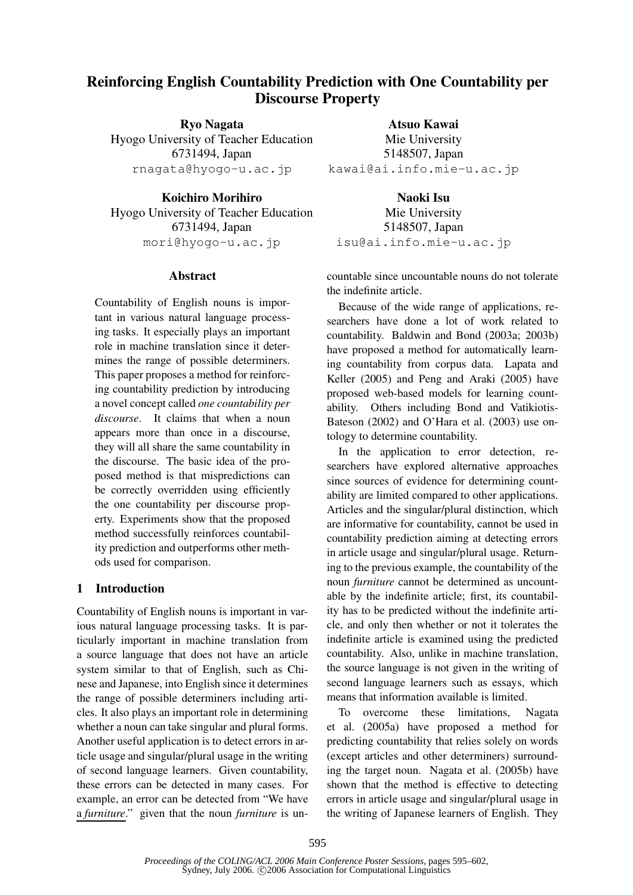# **Reinforcing English Countability Prediction with One Countability per Discourse Property**

**Ryo Nagata** Hyogo University of Teacher Education 6731494, Japan rnagata@hyogo-u.ac.jp

**Koichiro Morihiro** Hyogo University of Teacher Education 6731494, Japan mori@hyogo-u.ac.jp

# **Abstract**

Countability of English nouns is important in various natural language processing tasks. It especially plays an important role in machine translation since it determines the range of possible determiners. This paper proposes a method for reinforcing countability prediction by introducing a novel concept called *one countability per discourse*. It claims that when a noun appears more than once in a discourse, they will all share the same countability in the discourse. The basic idea of the proposed method is that mispredictions can be correctly overridden using efficiently the one countability per discourse property. Experiments show that the proposed method successfully reinforces countability prediction and outperforms other methods used for comparison.

# **1 Introduction**

Countability of English nouns is important in various natural language processing tasks. It is particularly important in machine translation from a source language that does not have an article system similar to that of English, such as Chinese and Japanese, into English since it determines the range of possible determiners including articles. It also plays an important role in determining whether a noun can take singular and plural forms. Another useful application is to detect errors in article usage and singular/plural usage in the writing of second language learners. Given countability, these errors can be detected in many cases. For example, an error can be detected from "We have a *furniture*." given that the noun *furniture* is un-

**Atsuo Kawai** Mie University 5148507, Japan kawai@ai.info.mie-u.ac.jp

**Naoki Isu** Mie University 5148507, Japan isu@ai.info.mie-u.ac.jp

countable since uncountable nouns do not tolerate the indefinite article.

Because of the wide range of applications, researchers have done a lot of work related to countability. Baldwin and Bond (2003a; 2003b) have proposed a method for automatically learning countability from corpus data. Lapata and Keller (2005) and Peng and Araki (2005) have proposed web-based models for learning countability. Others including Bond and Vatikiotis-Bateson (2002) and O'Hara et al. (2003) use ontology to determine countability.

In the application to error detection, researchers have explored alternative approaches since sources of evidence for determining countability are limited compared to other applications. Articles and the singular/plural distinction, which are informative for countability, cannot be used in countability prediction aiming at detecting errors in article usage and singular/plural usage. Returning to the previous example, the countability of the noun *furniture* cannot be determined as uncountable by the indefinite article; first, its countability has to be predicted without the indefinite article, and only then whether or not it tolerates the indefinite article is examined using the predicted countability. Also, unlike in machine translation, the source language is not given in the writing of second language learners such as essays, which means that information available is limited.

To overcome these limitations, Nagata et al. (2005a) have proposed a method for predicting countability that relies solely on words (except articles and other determiners) surrounding the target noun. Nagata et al. (2005b) have shown that the method is effective to detecting errors in article usage and singular/plural usage in the writing of Japanese learners of English. They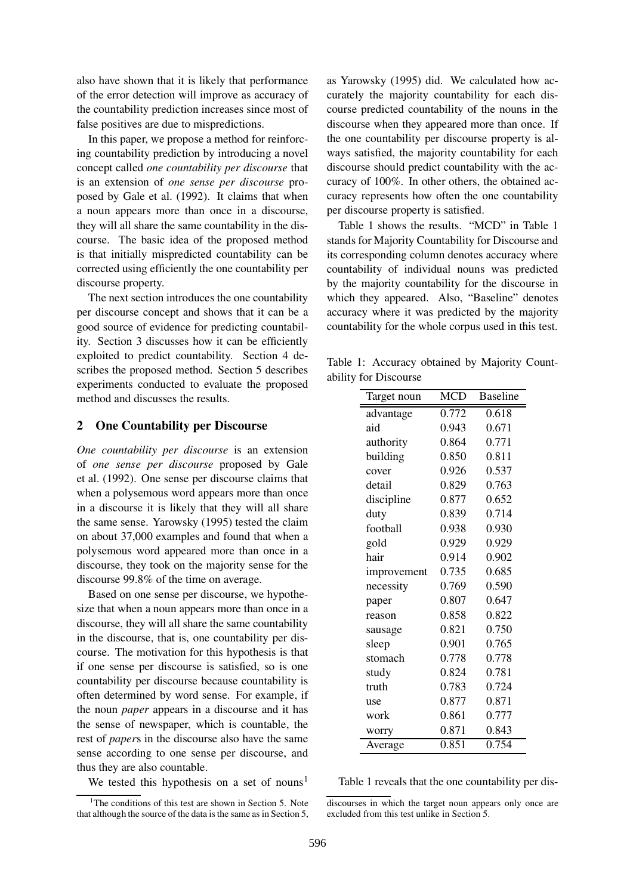also have shown that it is likely that performance of the error detection will improve as accuracy of the countability prediction increases since most of false positives are due to mispredictions.

In this paper, we propose a method for reinforcing countability prediction by introducing a novel concept called *one countability per discourse* that is an extension of *one sense per discourse* proposed by Gale et al. (1992). It claims that when a noun appears more than once in a discourse, they will all share the same countability in the discourse. The basic idea of the proposed method is that initially mispredicted countability can be corrected using efficiently the one countability per discourse property.

The next section introduces the one countability per discourse concept and shows that it can be a good source of evidence for predicting countability. Section 3 discusses how it can be efficiently exploited to predict countability. Section 4 describes the proposed method. Section 5 describes experiments conducted to evaluate the proposed method and discusses the results.

## **2 One Countability per Discourse**

*One countability per discourse* is an extension of *one sense per discourse* proposed by Gale et al. (1992). One sense per discourse claims that when a polysemous word appears more than once in a discourse it is likely that they will all share the same sense. Yarowsky (1995) tested the claim on about 37,000 examples and found that when a polysemous word appeared more than once in a discourse, they took on the majority sense for the discourse 99.8% of the time on average.

Based on one sense per discourse, we hypothesize that when a noun appears more than once in a discourse, they will all share the same countability in the discourse, that is, one countability per discourse. The motivation for this hypothesis is that if one sense per discourse is satisfied, so is one countability per discourse because countability is often determined by word sense. For example, if the noun *paper* appears in a discourse and it has the sense of newspaper, which is countable, the rest of *paper*s in the discourse also have the same sense according to one sense per discourse, and thus they are also countable.

We tested this hypothesis on a set of nouns<sup>1</sup>

as Yarowsky (1995) did. We calculated how accurately the majority countability for each discourse predicted countability of the nouns in the discourse when they appeared more than once. If the one countability per discourse property is always satisfied, the majority countability for each discourse should predict countability with the accuracy of 100%. In other others, the obtained accuracy represents how often the one countability per discourse property is satisfied.

Table 1 shows the results. "MCD" in Table 1 stands for Majority Countability for Discourse and its corresponding column denotes accuracy where countability of individual nouns was predicted by the majority countability for the discourse in which they appeared. Also, "Baseline" denotes accuracy where it was predicted by the majority countability for the whole corpus used in this test.

Table 1: Accuracy obtained by Majority Countability for Discourse

| Target noun | <b>MCD</b> | <b>Baseline</b> |  |
|-------------|------------|-----------------|--|
| advantage   | 0.772      | 0.618           |  |
| aid         | 0.943      | 0.671           |  |
| authority   | 0.864      | 0.771           |  |
| building    | 0.850      | 0.811           |  |
| cover       | 0.926      | 0.537           |  |
| detail      | 0.829      | 0.763           |  |
| discipline  | 0.877      | 0.652           |  |
| duty        | 0.839      | 0.714           |  |
| football    | 0.938      | 0.930           |  |
| gold        | 0.929      | 0.929           |  |
| hair        | 0.914      | 0.902           |  |
| improvement | 0.735      | 0.685           |  |
| necessity   | 0.769      | 0.590           |  |
| paper       | 0.807      | 0.647           |  |
| reason      | 0.858      | 0.822           |  |
| sausage     | 0.821      | 0.750           |  |
| sleep       | 0.901      | 0.765           |  |
| stomach     | 0.778      | 0.778           |  |
| study       | 0.824      | 0.781           |  |
| truth       | 0.783      | 0.724           |  |
| use         | 0.877      | 0.871           |  |
| work        | 0.861      | 0.777           |  |
| worry       | 0.871      | 0.843           |  |
| Average     | 0.851      | 0.754           |  |

Table 1 reveals that the one countability per dis-

<sup>&</sup>lt;sup>1</sup>The conditions of this test are shown in Section 5. Note that although the source of the data is the same as in Section 5,

discourses in which the target noun appears only once are excluded from this test unlike in Section 5.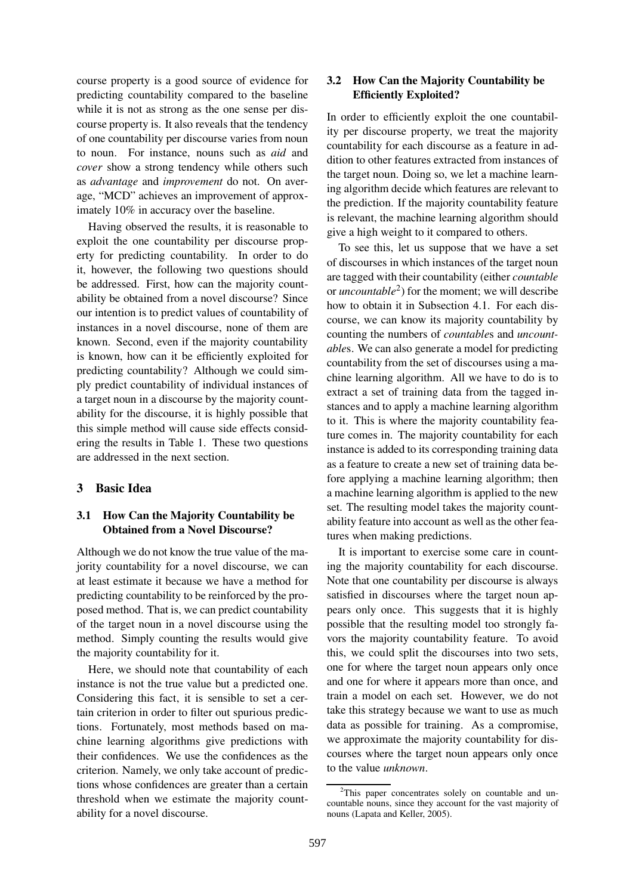course property is a good source of evidence for predicting countability compared to the baseline while it is not as strong as the one sense per discourse property is. It also reveals that the tendency of one countability per discourse varies from noun to noun. For instance, nouns such as *aid* and *cover* show a strong tendency while others such as *advantage* and *improvement* do not. On average, "MCD" achieves an improvement of approximately 10% in accuracy over the baseline.

Having observed the results, it is reasonable to exploit the one countability per discourse property for predicting countability. In order to do it, however, the following two questions should be addressed. First, how can the majority countability be obtained from a novel discourse? Since our intention is to predict values of countability of instances in a novel discourse, none of them are known. Second, even if the majority countability is known, how can it be efficiently exploited for predicting countability? Although we could simply predict countability of individual instances of a target noun in a discourse by the majority countability for the discourse, it is highly possible that this simple method will cause side effects considering the results in Table 1. These two questions are addressed in the next section.

# **3 Basic Idea**

# **3.1 How Can the Majority Countability be Obtained from a Novel Discourse?**

Although we do not know the true value of the majority countability for a novel discourse, we can at least estimate it because we have a method for predicting countability to be reinforced by the proposed method. That is, we can predict countability of the target noun in a novel discourse using the method. Simply counting the results would give the majority countability for it.

Here, we should note that countability of each instance is not the true value but a predicted one. Considering this fact, it is sensible to set a certain criterion in order to filter out spurious predictions. Fortunately, most methods based on machine learning algorithms give predictions with their confidences. We use the confidences as the criterion. Namely, we only take account of predictions whose confidences are greater than a certain threshold when we estimate the majority countability for a novel discourse.

# **3.2 How Can the Majority Countability be Efficiently Exploited?**

In order to efficiently exploit the one countability per discourse property, we treat the majority countability for each discourse as a feature in addition to other features extracted from instances of the target noun. Doing so, we let a machine learning algorithm decide which features are relevant to the prediction. If the majority countability feature is relevant, the machine learning algorithm should give a high weight to it compared to others.

To see this, let us suppose that we have a set of discourses in which instances of the target noun are tagged with their countability (either *countable* or *uncountable* 2 ) for the moment; we will describe how to obtain it in Subsection 4.1. For each discourse, we can know its majority countability by counting the numbers of *countable*s and *uncountable*s. We can also generate a model for predicting countability from the set of discourses using a machine learning algorithm. All we have to do is to extract a set of training data from the tagged instances and to apply a machine learning algorithm to it. This is where the majority countability feature comes in. The majority countability for each instance is added to its corresponding training data as a feature to create a new set of training data before applying a machine learning algorithm; then a machine learning algorithm is applied to the new set. The resulting model takes the majority countability feature into account as well as the other features when making predictions.

It is important to exercise some care in counting the majority countability for each discourse. Note that one countability per discourse is always satisfied in discourses where the target noun appears only once. This suggests that it is highly possible that the resulting model too strongly favors the majority countability feature. To avoid this, we could split the discourses into two sets, one for where the target noun appears only once and one for where it appears more than once, and train a model on each set. However, we do not take this strategy because we want to use as much data as possible for training. As a compromise, we approximate the majority countability for discourses where the target noun appears only once to the value *unknown*.

<sup>&</sup>lt;sup>2</sup>This paper concentrates solely on countable and uncountable nouns, since they account for the vast majority of nouns (Lapata and Keller, 2005).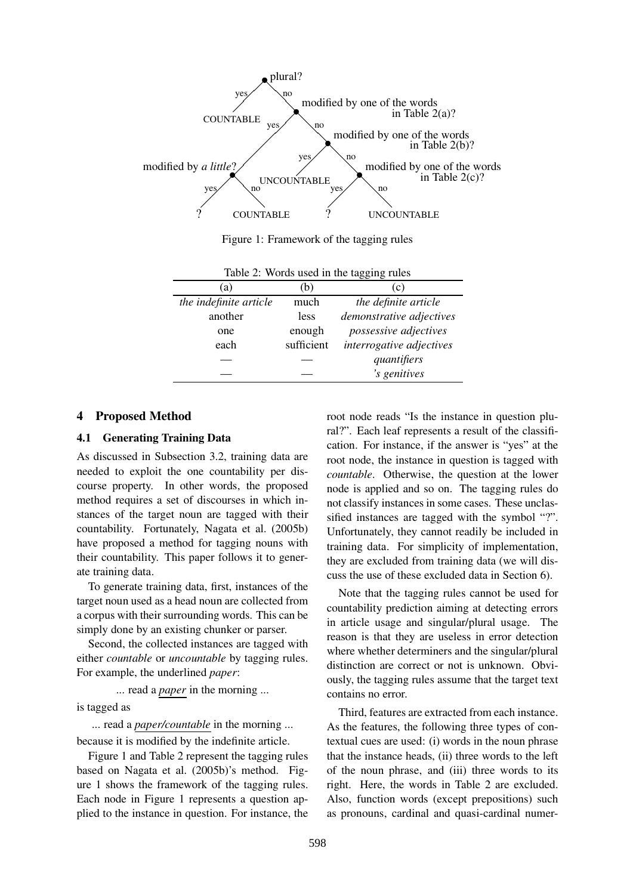

Figure 1: Framework of the tagging rules

| a)                     | (b         | (c)                      |  |  |
|------------------------|------------|--------------------------|--|--|
| the indefinite article | much       | the definite article     |  |  |
| another                | less       | demonstrative adjectives |  |  |
| one                    | enough     | possessive adjectives    |  |  |
| each                   | sufficient | interrogative adjectives |  |  |
|                        |            | quantifiers              |  |  |
|                        |            | 's genitives             |  |  |

Table 2: Words used in the tagging rules

#### **4 Proposed Method**

#### **4.1 Generating Training Data**

As discussed in Subsection 3.2, training data are needed to exploit the one countability per discourse property. In other words, the proposed method requires a set of discourses in which instances of the target noun are tagged with their countability. Fortunately, Nagata et al. (2005b) have proposed a method for tagging nouns with their countability. This paper follows it to generate training data.

To generate training data, first, instances of the target noun used as a head noun are collected from a corpus with their surrounding words. This can be simply done by an existing chunker or parser.

Second, the collected instances are tagged with either *countable* or *uncountable* by tagging rules. For example, the underlined *paper*:

... read a *paper* in the morning ...

is tagged as

... read a *paper/countable* in the morning ...

because it is modified by the indefinite article.

Figure 1 and Table 2 represent the tagging rules based on Nagata et al. (2005b)'s method. Figure 1 shows the framework of the tagging rules. Each node in Figure 1 represents a question applied to the instance in question. For instance, the

root node reads "Is the instance in question plural?". Each leaf represents a result of the classification. For instance, if the answer is "yes" at the root node, the instance in question is tagged with *countable*. Otherwise, the question at the lower node is applied and so on. The tagging rules do not classify instances in some cases. These unclassified instances are tagged with the symbol "?". Unfortunately, they cannot readily be included in training data. For simplicity of implementation, they are excluded from training data (we will discuss the use of these excluded data in Section 6).

Note that the tagging rules cannot be used for countability prediction aiming at detecting errors in article usage and singular/plural usage. The reason is that they are useless in error detection where whether determiners and the singular/plural distinction are correct or not is unknown. Obviously, the tagging rules assume that the target text contains no error.

Third, features are extracted from each instance. As the features, the following three types of contextual cues are used: (i) words in the noun phrase that the instance heads, (ii) three words to the left of the noun phrase, and (iii) three words to its right. Here, the words in Table 2 are excluded. Also, function words (except prepositions) such as pronouns, cardinal and quasi-cardinal numer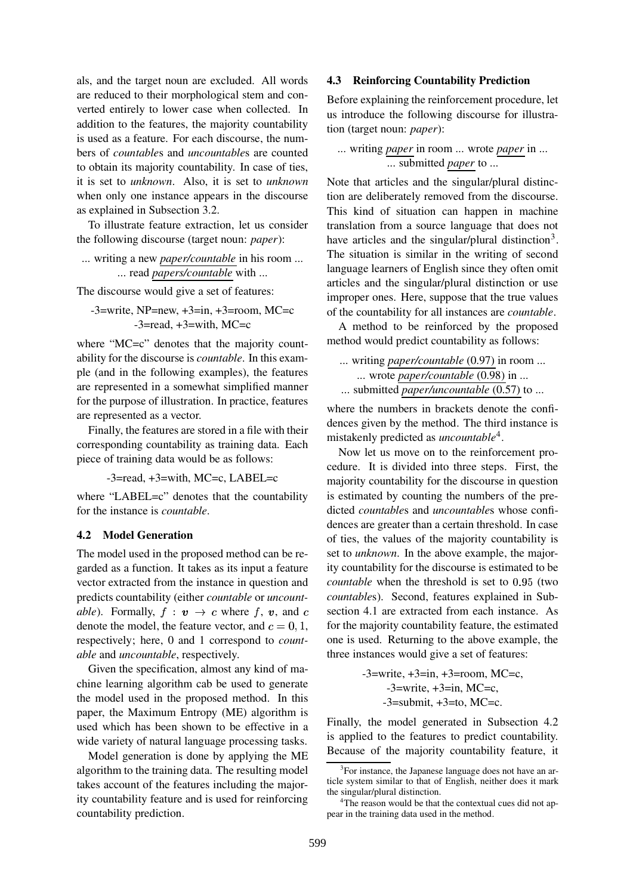als, and the target noun are excluded. All words are reduced to their morphological stem and converted entirely to lower case when collected. In addition to the features, the majority countability is used as a feature. For each discourse, the numbers of *countable*s and *uncountable*s are counted to obtain its majority countability. In case of ties, it is set to *unknown*. Also, it is set to *unknown* when only one instance appears in the discourse as explained in Subsection 3.2.

To illustrate feature extraction, let us consider the following discourse (target noun: *paper*):

... writing a new *paper/countable* in his room ... ... read *papers/countable* with ...

The discourse would give a set of features:

$$
-3 = \text{write}, \text{NP} = \text{new}, +3 = \text{in}, +3 = \text{room}, \text{MC} = \text{c}
$$

$$
-3 = \text{read}, +3 = \text{with}, \text{MC} = \text{c}
$$

where "MC=c" denotes that the majority countability for the discourse is *countable*. In this example (and in the following examples), the features are represented in a somewhat simplified manner for the purpose of illustration. In practice, features are represented as a vector.

Finally, the features are stored in a file with their corresponding countability as training data. Each piece of training data would be as follows:

-3=read, +3=with, MC=c, LABEL=c

where "LABEL=c" denotes that the countability for the instance is *countable*.

## **4.2 Model Generation**

The model used in the proposed method can be regarded as a function. It takes as its input a feature vector extracted from the instance in question and predicts countability (either *countable* or *uncountable*). Formally,  $f : v \rightarrow c$  where  $f, v$ , and denote the model, the feature vector, and  $c = 0, 1,$  for respectively; here, 0 and 1 correspond to *countable* and *uncountable*, respectively.

Given the specification, almost any kind of machine learning algorithm cab be used to generate the model used in the proposed method. In this paper, the Maximum Entropy (ME) algorithm is used which has been shown to be effective in a wide variety of natural language processing tasks.

Model generation is done by applying the ME algorithm to the training data. The resulting model takes account of the features including the majority countability feature and is used for reinforcing countability prediction.

## **4.3 Reinforcing Countability Prediction**

Before explaining the reinforcement procedure, let us introduce the following discourse for illustration (target noun: *paper*):

# ... writing *paper* in room ... wrote *paper* in ... ... submitted *paper* to ...

Note that articles and the singular/plural distinction are deliberately removed from the discourse. This kind of situation can happen in machine translation from a source language that does not have articles and the singular/plural distinction<sup>3</sup>. The situation is similar in the writing of second language learners of English since they often omit articles and the singular/plural distinction or use improper ones. Here, suppose that the true values of the countability for all instances are *countable*.

A method to be reinforced by the proposed method would predict countability as follows:

... writing *paper/countable* (0.97) in room ... ... wrote *paper/countable* (0.98) in ... ... submitted *paper/uncountable* (0.57) to ...

where the numbers in brackets denote the confidences given by the method. The third instance is mistakenly predicted as *uncountable*<sup>4</sup> .

Now let us move on to the reinforcement procedure. It is divided into three steps. First, the majority countability for the discourse in question is estimated by counting the numbers of the predicted *countable*s and *uncountable*s whose confidences are greater than a certain threshold. In case of ties, the values of the majority countability is set to *unknown*. In the above example, the majority countability for the discourse is estimated to be *countable* when the threshold is set to 0.95 (two *countable*s). Second, features explained in Subsection 4.1 are extracted from each instance. As for the majority countability feature, the estimated one is used. Returning to the above example, the three instances would give a set of features:

> $-3$ =write,  $+3$ =in,  $+3$ =room, MC=c,  $-3$ =write,  $+3$ =in, MC=c,  $-3$ =submit,  $+3$ =to, MC=c.

Finally, the model generated in Subsection 4.2 is applied to the features to predict countability. Because of the majority countability feature, it

<sup>&</sup>lt;sup>3</sup>For instance, the Japanese language does not have an article system similar to that of English, neither does it mark the singular/plural distinction.

<sup>&</sup>lt;sup>4</sup>The reason would be that the contextual cues did not appear in the training data used in the method.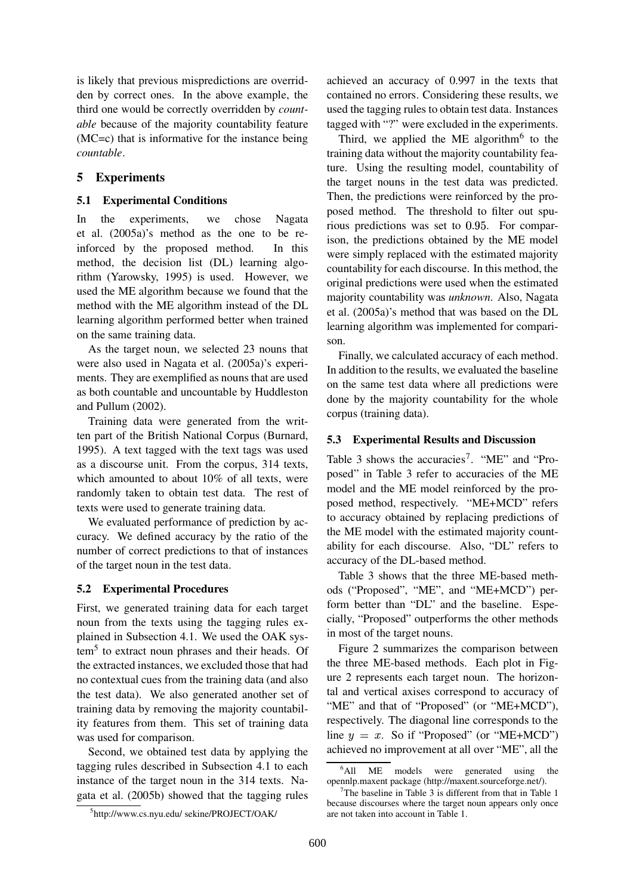is likely that previous mispredictions are overridden by correct ones. In the above example, the third one would be correctly overridden by *countable* because of the majority countability feature (MC=c) that is informative for the instance being *countable*.

# **5 Experiments**

## **5.1 Experimental Conditions**

In the experiments, we chose Nagata et al. (2005a)'s method as the one to be reinforced by the proposed method. In this method, the decision list (DL) learning algorithm (Yarowsky, 1995) is used. However, we used the ME algorithm because we found that the method with the ME algorithm instead of the DL learning algorithm performed better when trained on the same training data.

As the target noun, we selected 23 nouns that were also used in Nagata et al. (2005a)'s experiments. They are exemplified as nouns that are used as both countable and uncountable by Huddleston and Pullum (2002).

Training data were generated from the written part of the British National Corpus (Burnard, 1995). A text tagged with the text tags was used as a discourse unit. From the corpus, 314 texts, which amounted to about 10% of all texts, were randomly taken to obtain test data. The rest of texts were used to generate training data.

We evaluated performance of prediction by accuracy. We defined accuracy by the ratio of the number of correct predictions to that of instances of the target noun in the test data.

### **5.2 Experimental Procedures**

First, we generated training data for each target noun from the texts using the tagging rules explained in Subsection 4.1. We used the OAK system<sup>5</sup> to extract noun phrases and their heads. Of the extracted instances, we excluded those that had no contextual cues from the training data (and also the test data). We also generated another set of training data by removing the majority countability features from them. This set of training data was used for comparison.

Second, we obtained test data by applying the tagging rules described in Subsection 4.1 to each instance of the target noun in the 314 texts. Nagata et al. (2005b) showed that the tagging rules achieved an accuracy of 0.997 in the texts that contained no errors. Considering these results, we used the tagging rules to obtain test data. Instances tagged with "?" were excluded in the experiments.

Third, we applied the ME algorithm<sup>6</sup> to the training data without the majority countability feature. Using the resulting model, countability of the target nouns in the test data was predicted. Then, the predictions were reinforced by the proposed method. The threshold to filter out spurious predictions was set to 0.95. For comparison, the predictions obtained by the ME model were simply replaced with the estimated majority countability for each discourse. In this method, the original predictions were used when the estimated majority countability was *unknown*. Also, Nagata et al. (2005a)'s method that was based on the DL learning algorithm was implemented for comparison.

Finally, we calculated accuracy of each method. In addition to the results, we evaluated the baseline on the same test data where all predictions were done by the majority countability for the whole corpus (training data).

## **5.3 Experimental Results and Discussion**

Table 3 shows the accuracies<sup>7</sup>. "ME" and "Proposed" in Table 3 refer to accuracies of the ME model and the ME model reinforced by the proposed method, respectively. "ME+MCD" refers to accuracy obtained by replacing predictions of the ME model with the estimated majority countability for each discourse. Also, "DL" refers to accuracy of the DL-based method.

Table 3 shows that the three ME-based methods ("Proposed", "ME", and "ME+MCD") perform better than "DL" and the baseline. Especially, "Proposed" outperforms the other methods in most of the target nouns.

Figure 2 summarizes the comparison between the three ME-based methods. Each plot in Figure 2 represents each target noun. The horizontal and vertical axises correspond to accuracy of "ME" and that of "Proposed" (or "ME+MCD"), respectively. The diagonal line corresponds to the line  $y = x$ . So if "Proposed" (or "ME+MCD") achieved no improvement at all over "ME", all the

<sup>5</sup> http://www.cs.nyu.edu/ sekine/PROJECT/OAK/

<sup>&</sup>lt;sup>6</sup>All ME models were generated using the opennlp.maxent package (http://maxent.sourceforge.net/).

 $7$ The baseline in Table 3 is different from that in Table 1 because discourses where the target noun appears only once are not taken into account in Table 1.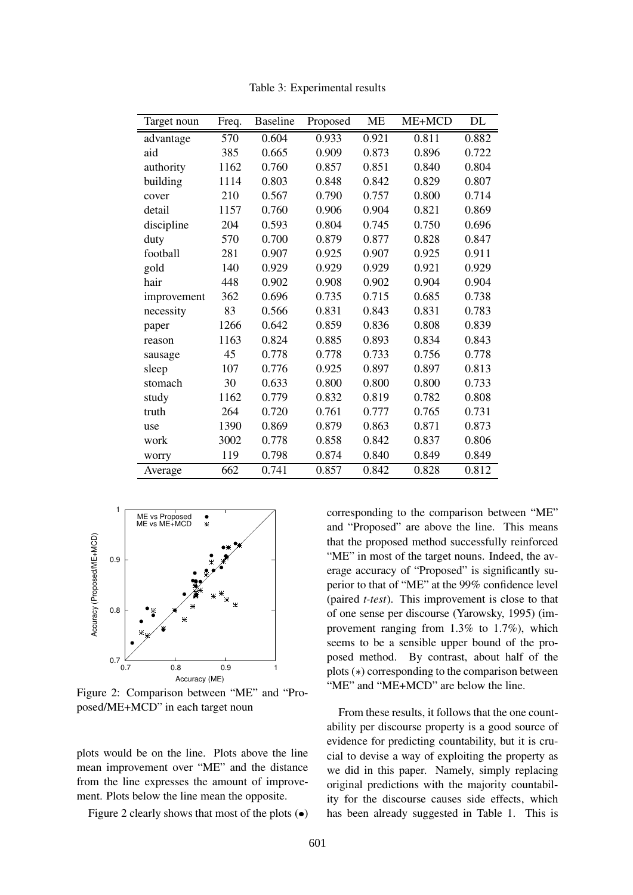| Target noun | Freq. | <b>Baseline</b> | Proposed | <b>ME</b> | ME+MCD | DL    |
|-------------|-------|-----------------|----------|-----------|--------|-------|
| advantage   | 570   | 0.604           | 0.933    | 0.921     | 0.811  | 0.882 |
| aid         | 385   | 0.665           | 0.909    | 0.873     | 0.896  | 0.722 |
| authority   | 1162  | 0.760           | 0.857    | 0.851     | 0.840  | 0.804 |
| building    | 1114  | 0.803           | 0.848    | 0.842     | 0.829  | 0.807 |
| cover       | 210   | 0.567           | 0.790    | 0.757     | 0.800  | 0.714 |
| detail      | 1157  | 0.760           | 0.906    | 0.904     | 0.821  | 0.869 |
| discipline  | 204   | 0.593           | 0.804    | 0.745     | 0.750  | 0.696 |
| duty        | 570   | 0.700           | 0.879    | 0.877     | 0.828  | 0.847 |
| football    | 281   | 0.907           | 0.925    | 0.907     | 0.925  | 0.911 |
| gold        | 140   | 0.929           | 0.929    | 0.929     | 0.921  | 0.929 |
| hair        | 448   | 0.902           | 0.908    | 0.902     | 0.904  | 0.904 |
| improvement | 362   | 0.696           | 0.735    | 0.715     | 0.685  | 0.738 |
| necessity   | 83    | 0.566           | 0.831    | 0.843     | 0.831  | 0.783 |
| paper       | 1266  | 0.642           | 0.859    | 0.836     | 0.808  | 0.839 |
| reason      | 1163  | 0.824           | 0.885    | 0.893     | 0.834  | 0.843 |
| sausage     | 45    | 0.778           | 0.778    | 0.733     | 0.756  | 0.778 |
| sleep       | 107   | 0.776           | 0.925    | 0.897     | 0.897  | 0.813 |
| stomach     | 30    | 0.633           | 0.800    | 0.800     | 0.800  | 0.733 |
| study       | 1162  | 0.779           | 0.832    | 0.819     | 0.782  | 0.808 |
| truth       | 264   | 0.720           | 0.761    | 0.777     | 0.765  | 0.731 |
| use         | 1390  | 0.869           | 0.879    | 0.863     | 0.871  | 0.873 |
| work        | 3002  | 0.778           | 0.858    | 0.842     | 0.837  | 0.806 |
| worry       | 119   | 0.798           | 0.874    | 0.840     | 0.849  | 0.849 |
| Average     | 662   | 0.741           | 0.857    | 0.842     | 0.828  | 0.812 |

Table 3: Experimental results



Figure 2: Comparison between "ME" and "Proposed/ME+MCD" in each target noun

plots would be on the line. Plots above the line mean improvement over "ME" and the distance from the line expresses the amount of improvement. Plots below the line mean the opposite.

Figure 2 clearly shows that most of the plots  $\left( \bullet \right)$ 

corresponding to the comparison between "ME" and "Proposed" are above the line. This means that the proposed method successfully reinforced "ME" in most of the target nouns. Indeed, the average accuracy of "Proposed" is significantly superior to that of "ME" at the 99% confidence level (paired *t-test*). This improvement is close to that of one sense per discourse (Yarowsky, 1995) (improvement ranging from 1.3% to 1.7%), which seems to be a sensible upper bound of the proposed method. By contrast, about half of the plots  $(*)$  corresponding to the comparison between "ME" and "ME+MCD" are below the line.

From these results, it follows that the one countability per discourse property is a good source of evidence for predicting countability, but it is crucial to devise a way of exploiting the property as we did in this paper. Namely, simply replacing original predictions with the majority countability for the discourse causes side effects, which has been already suggested in Table 1. This is